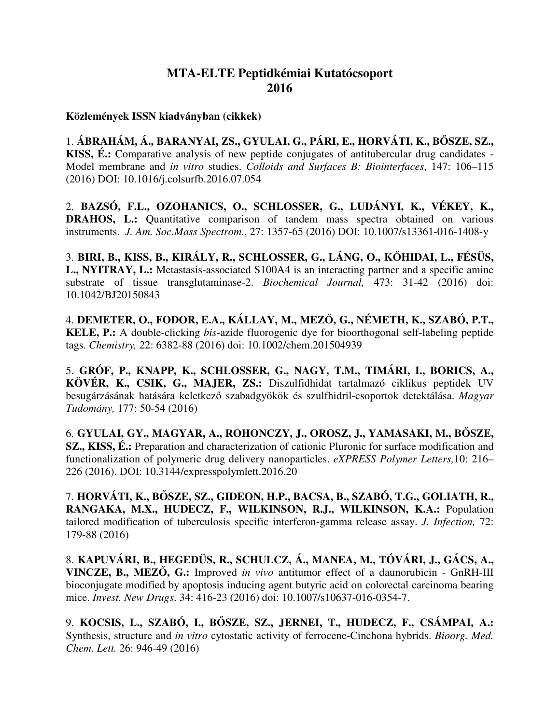# **MTA-ELTE Peptidkémiai Kutatócsoport 2016**

#### **Közlemények ISSN kiadványban (cikkek)**

1. **ÁBRAHÁM, Á., BARANYAI, ZS., GYULAI, G., PÁRI, E., HORVÁTI, K., BŐSZE, SZ., KISS, É.:** Comparative analysis of new peptide conjugates of antitubercular drug candidates - Model membrane and *in vitro* studies. *Colloids and Surfaces B: Biointerfaces*, 147: 106–115 (2016) DOI: 10.1016/j.colsurfb.2016.07.054

2. **BAZSÓ, F.L., OZOHANICS, O., SCHLOSSER, G., LUDÁNYI, K., VÉKEY, K., DRAHOS, L.:** Quantitative comparison of tandem mass spectra obtained on various instruments. *J. Am. Soc.Mass Spectrom.*, 27: 1357-65 (2016) DOI: 10.1007/s13361-016-1408-y

3. **BIRI, B., KISS, B., KIRÁLY, R., SCHLOSSER, G., LÁNG, O., KŐHIDAI, L., FÉSÜS, L., NYITRAY, L.:** Metastasis-associated S100A4 is an interacting partner and a specific amine substrate of tissue transglutaminase-2. *Biochemical Journal,* 473: 31-42 (2016) doi: 10.1042/BJ20150843

4. **DEMETER, O., FODOR, E.A., KÁLLAY, M., MEZŐ, G., NÉMETH, K., SZABÓ, P.T., KELE, P.:** A double-clicking *bis*-azide fluorogenic dye for bioorthogonal self-labeling peptide tags. *Chemistry,* 22: 6382-88 (2016) doi: 10.1002/chem.201504939

5. **GRÓF, P., KNAPP, K., SCHLOSSER, G., NAGY, T.M., TIMÁRI, I., BORICS, A., KÖVÉR, K., CSIK, G., MAJER, ZS.:** Diszulfidhidat tartalmazó ciklikus peptidek UV besugárzásának hatására keletkező szabadgyökök és szulfhidril-csoportok detektálása. *Magyar Tudomány,* 177: 50-54 (2016)

6. **GYULAI, GY., MAGYAR, A., ROHONCZY, J., OROSZ, J., YAMASAKI, M., BŐSZE, SZ., KISS, É.:** Preparation and characterization of cationic Pluronic for surface modification and functionalization of polymeric drug delivery nanoparticles. *eXPRESS Polymer Letters,*10: 216– 226 (2016). DOI: 10.3144/expresspolymlett.2016.20

7. **HORVÁTI, K., BŐSZE, SZ., GIDEON, H.P., BACSA, B., SZABÓ, T.G., GOLIATH, R., RANGAKA, M.X., HUDECZ, F., WILKINSON, R.J., WILKINSON, K.A.:** Population tailored modification of tuberculosis specific interferon-gamma release assay. *J. Infection,* 72: 179-88 (2016)

8. **KAPUVÁRI, B., HEGEDÜS, R., SCHULCZ, Á., MANEA, M., TÓVÁRI, J., GÁCS, A., VINCZE, B., MEZŐ, G.:** Improved *in vivo* antitumor effect of a daunorubicin - GnRH-III bioconjugate modified by apoptosis inducing agent butyric acid on colorectal carcinoma bearing mice. *Invest. New Drugs*. 34: 416-23 (2016) doi: 10.1007/s10637-016-0354-7.

9. **KOCSIS, L., SZABÓ, I., BŐSZE, SZ., JERNEI, T., HUDECZ, F., CSÁMPAI, A.:**  Synthesis, structure and *in vitro* cytostatic activity of ferrocene-Cinchona hybrids. *Bioorg. Med. Chem. Lett.* 26: 946-49 (2016)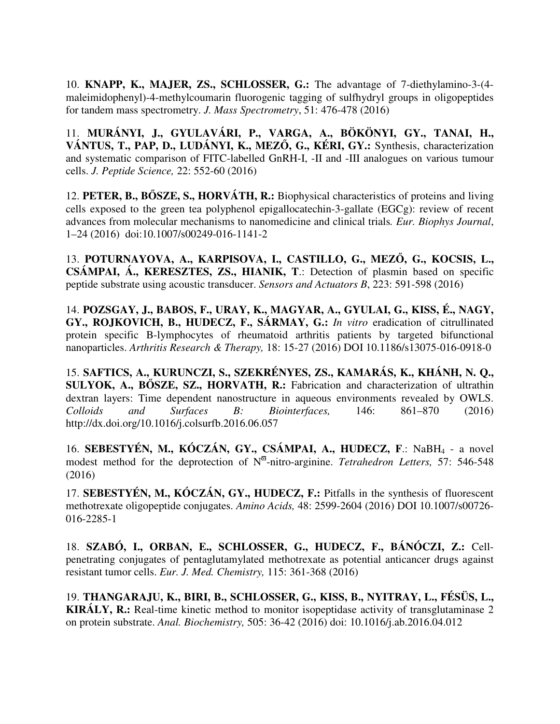10. **KNAPP, K., MAJER, ZS., SCHLOSSER, G.:** The advantage of 7-diethylamino-3-(4 maleimidophenyl)-4-methylcoumarin fluorogenic tagging of sulfhydryl groups in oligopeptides for tandem mass spectrometry. *J. Mass Spectrometry*, 51: 476-478 (2016)

11. **MURÁNYI, J., GYULAVÁRI, P., VARGA, A., BÖKÖNYI, GY., TANAI, H., VÁNTUS, T., PAP, D., LUDÁNYI, K., MEZŐ, G., KÉRI, GY.:** Synthesis, characterization and systematic comparison of FITC-labelled GnRH-I, -II and -III analogues on various tumour cells. *J. Peptide Science,* 22: 552-60 (2016)

12. **PETER, B., BŐSZE, S., HORVÁTH, R.:** Biophysical characteristics of proteins and living cells exposed to the green tea polyphenol epigallocatechin-3-gallate (EGCg): review of recent advances from molecular mechanisms to nanomedicine and clinical trials*. Eur. Biophys Journal*, 1–24 (2016) doi:10.1007/s00249-016-1141-2

13. **POTURNAYOVA, A., KARPISOVA, I., CASTILLO, G., MEZŐ, G., KOCSIS, L., CSÁMPAI, Á., KERESZTES, ZS., HIANIK, T**.: Detection of plasmin based on specific peptide substrate using acoustic transducer. *Sensors and Actuators B*, 223: 591-598 (2016)

14. **POZSGAY, J., BABOS, F., URAY, K., MAGYAR, A., GYULAI, G., KISS, É., NAGY, GY., ROJKOVICH, B., HUDECZ, F., SÁRMAY, G.:** *In vitro* eradication of citrullinated protein specific B-lymphocytes of rheumatoid arthritis patients by targeted bifunctional nanoparticles. *Arthritis Research & Therapy,* 18: 15-27 (2016) DOI 10.1186/s13075-016-0918-0

15. **SAFTICS, A., KURUNCZI, S., SZEKRÉNYES, ZS., KAMARÁS, K., KHÁNH, N. Q., SULYOK, A., BŐSZE, SZ., HORVATH, R.:** Fabrication and characterization of ultrathin dextran layers: Time dependent nanostructure in aqueous environments revealed by OWLS. *Colloids and Surfaces B: Biointerfaces,* 146: 861–870 (2016) http://dx.doi.org/10.1016/j.colsurfb.2016.06.057

16. **SEBESTYÉN, M., KÓCZÁN, GY., CSÁMPAI, A., HUDECZ, F.**: NaBH<sub>4</sub> - a novel modest method for the deprotection of N<sup>®</sup>-nitro-arginine. *Tetrahedron Letters*, 57: 546-548 (2016)

17. **SEBESTYÉN, M., KÓCZÁN, GY., HUDECZ, F.:** Pitfalls in the synthesis of fluorescent methotrexate oligopeptide conjugates. *Amino Acids,* 48: 2599-2604 (2016) DOI 10.1007/s00726- 016-2285-1

18. **SZABÓ, I., ORBAN, E., SCHLOSSER, G., HUDECZ, F., BÁNÓCZI, Z.:** Cellpenetrating conjugates of pentaglutamylated methotrexate as potential anticancer drugs against resistant tumor cells. *Eur. J. Med. Chemistry,* 115: 361-368 (2016)

19. **THANGARAJU, K., BIRI, B., SCHLOSSER, G., KISS, B., NYITRAY, L., FÉSÜS, L., KIRÁLY, R.:** Real-time kinetic method to monitor isopeptidase activity of transglutaminase 2 on protein substrate. *Anal. Biochemistry,* 505: 36-42 (2016) doi: 10.1016/j.ab.2016.04.012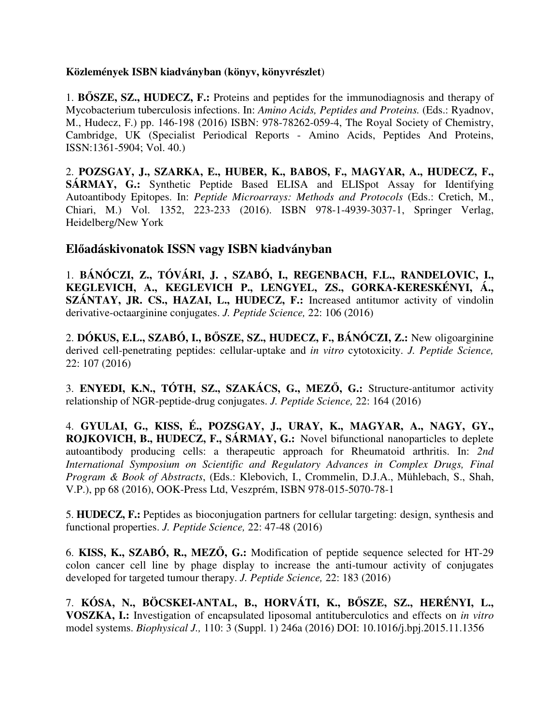### **Közlemények ISBN kiadványban (könyv, könyvrészlet**)

1. **BŐSZE, SZ., HUDECZ, F.:** Proteins and peptides for the immunodiagnosis and therapy of Mycobacterium tuberculosis infections. In: *Amino Acids, Peptides and Proteins.* (Eds.: Ryadnov, M., Hudecz, F.) pp. 146-198 (2016) ISBN: 978-78262-059-4, The Royal Society of Chemistry, Cambridge, UK (Specialist Periodical Reports - Amino Acids, Peptides And Proteins, ISSN:1361-5904; Vol. 40.)

2. **POZSGAY, J., SZARKA, E., HUBER, K., BABOS, F., MAGYAR, A., HUDECZ, F., SÁRMAY, G.:** Synthetic Peptide Based ELISA and ELISpot Assay for Identifying Autoantibody Epitopes. In: *Peptide Microarrays: Methods and Protocols* (Eds.: Cretich, M., Chiari, M.) Vol. 1352, 223-233 (2016). ISBN 978-1-4939-3037-1, Springer Verlag, Heidelberg/New York

## **Előadáskivonatok ISSN vagy ISBN kiadványban**

1. **BÁNÓCZI, Z., TÓVÁRI, J. , SZABÓ, I., REGENBACH, F.L., RANDELOVIC, I., KEGLEVICH, A., KEGLEVICH P., LENGYEL, ZS., GORKA-KERESKÉNYI, Á., SZÁNTAY, JR. CS., HAZAI, L., HUDECZ, F.:** Increased antitumor activity of vindolin derivative-octaarginine conjugates. *J. Peptide Science,* 22: 106 (2016)

2. **DÓKUS, E.L., SZABÓ, I., BŐSZE, SZ., HUDECZ, F., BÁNÓCZI, Z.:** New oligoarginine derived cell-penetrating peptides: cellular-uptake and *in vitro* cytotoxicity. *J. Peptide Science,* 22: 107 (2016)

3. **ENYEDI, K.N., TÓTH, SZ., SZAKÁCS, G., MEZŐ, G.:** Structure-antitumor activity relationship of NGR-peptide-drug conjugates. *J. Peptide Science,* 22: 164 (2016)

4. **GYULAI, G., KISS, É., POZSGAY, J., URAY, K., MAGYAR, A., NAGY, GY., ROJKOVICH, B., HUDECZ, F., SÁRMAY, G.:** Novel bifunctional nanoparticles to deplete autoantibody producing cells: a therapeutic approach for Rheumatoid arthritis. In: *2nd International Symposium on Scientific and Regulatory Advances in Complex Drugs, Final Program & Book of Abstracts*, (Eds.: Klebovich, I., Crommelin, D.J.A., Mühlebach, S., Shah, V.P.), pp 68 (2016), OOK-Press Ltd, Veszprém, ISBN 978-015-5070-78-1

5. **HUDECZ, F.:** Peptides as bioconjugation partners for cellular targeting: design, synthesis and functional properties. *J. Peptide Science,* 22: 47-48 (2016)

6. **KISS, K., SZABÓ, R., MEZŐ, G.:** Modification of peptide sequence selected for HT-29 colon cancer cell line by phage display to increase the anti-tumour activity of conjugates developed for targeted tumour therapy. *J. Peptide Science,* 22: 183 (2016)

7. **KÓSA, N., BÖCSKEI-ANTAL, B., HORVÁTI, K., BŐSZE, SZ., HERÉNYI, L., VOSZKA, I.:** Investigation of encapsulated liposomal antituberculotics and effects on *in vitro* model systems. *Biophysical J.,* 110: 3 (Suppl. 1) 246a (2016) DOI: 10.1016/j.bpj.2015.11.1356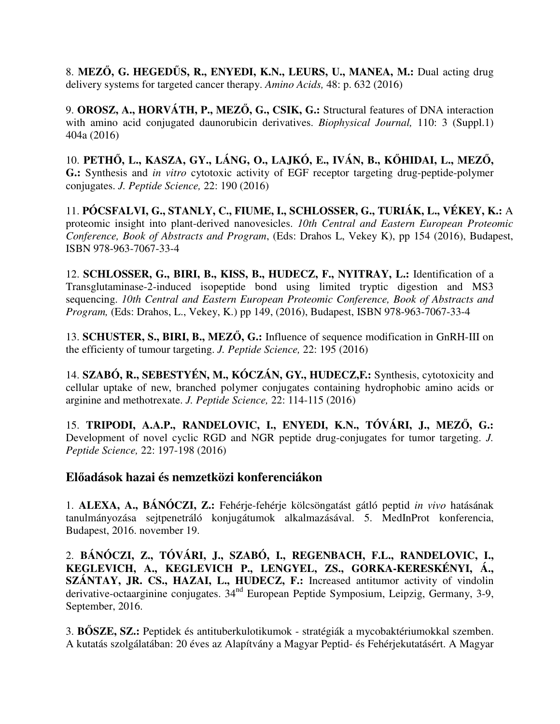8. **MEZŐ, G. HEGEDŰS, R., ENYEDI, K.N., LEURS, U., MANEA, M.:** Dual acting drug delivery systems for targeted cancer therapy. *Amino Acids,* 48: p. 632 (2016)

9. **OROSZ, A., HORVÁTH, P., MEZŐ, G., CSIK, G.:** Structural features of DNA interaction with amino acid conjugated daunorubicin derivatives. *Biophysical Journal,* 110: 3 (Suppl.1) 404a (2016)

10. **PETHŐ, L., KASZA, GY., LÁNG, O., LAJKÓ, E., IVÁN, B., KŐHIDAI, L., MEZŐ, G.:** Synthesis and *in vitro* cytotoxic activity of EGF receptor targeting drug-peptide-polymer conjugates. *J. Peptide Science,* 22: 190 (2016)

11. **PÓCSFALVI, G., STANLY, C., FIUME, I., SCHLOSSER, G., TURIÁK, L., VÉKEY, K.:** A proteomic insight into plant-derived nanovesicles. *10th Central and Eastern European Proteomic Conference, Book of Abstracts and Program*, (Eds: Drahos L, Vekey K), pp 154 (2016), Budapest, ISBN 978-963-7067-33-4

12. **SCHLOSSER, G., BIRI, B., KISS, B., HUDECZ, F., NYITRAY, L.:** Identification of a Transglutaminase-2-induced isopeptide bond using limited tryptic digestion and MS3 sequencing. *10th Central and Eastern European Proteomic Conference, Book of Abstracts and Program,* (Eds: Drahos, L., Vekey, K.) pp 149, (2016), Budapest, ISBN 978-963-7067-33-4

13. **SCHUSTER, S., BIRI, B., MEZŐ, G.:** Influence of sequence modification in GnRH-III on the efficienty of tumour targeting. *J. Peptide Science,* 22: 195 (2016)

14. **SZABÓ, R., SEBESTYÉN, M., KÓCZÁN, GY., HUDECZ,F.:** Synthesis, cytotoxicity and cellular uptake of new, branched polymer conjugates containing hydrophobic amino acids or arginine and methotrexate. *J. Peptide Science,* 22: 114-115 (2016)

15. **TRIPODI, A.A.P., RANDELOVIC, I., ENYEDI, K.N., TÓVÁRI, J., MEZŐ, G.:**  Development of novel cyclic RGD and NGR peptide drug-conjugates for tumor targeting. *J. Peptide Science,* 22: 197-198 (2016)

## **Előadások hazai és nemzetközi konferenciákon**

1. **ALEXA, A., BÁNÓCZI, Z.:** Fehérje-fehérje kölcsöngatást gátló peptid *in vivo* hatásának tanulmányozása sejtpenetráló konjugátumok alkalmazásával. 5. MedInProt konferencia, Budapest, 2016. november 19.

2. **BÁNÓCZI, Z., TÓVÁRI, J., SZABÓ, I., REGENBACH, F.L., RANDELOVIC, I., KEGLEVICH, A., KEGLEVICH P., LENGYEL, ZS., GORKA-KERESKÉNYI, Á., SZÁNTAY, JR. CS., HAZAI, L., HUDECZ, F.:** Increased antitumor activity of vindolin derivative-octaarginine conjugates. 34nd European Peptide Symposium, Leipzig, Germany, 3-9, September, 2016.

3. **BŐSZE, SZ.:** Peptidek és antituberkulotikumok - stratégiák a mycobaktériumokkal szemben. A kutatás szolgálatában: 20 éves az Alapítvány a Magyar Peptid- és Fehérjekutatásért. A Magyar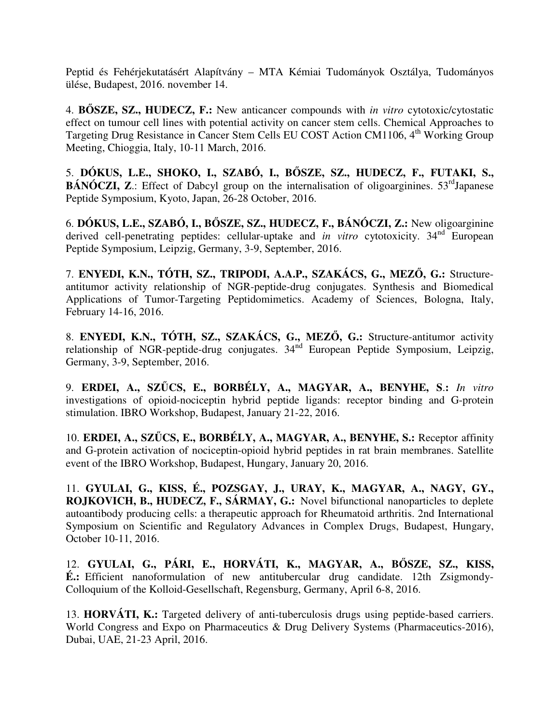Peptid és Fehérjekutatásért Alapítvány – MTA Kémiai Tudományok Osztálya, Tudományos ülése, Budapest, 2016. november 14.

4. **BŐSZE, SZ., HUDECZ, F.:** New anticancer compounds with *in vitro* cytotoxic/cytostatic effect on tumour cell lines with potential activity on cancer stem cells. Chemical Approaches to Targeting Drug Resistance in Cancer Stem Cells EU COST Action CM1106, 4<sup>th</sup> Working Group Meeting, Chioggia, Italy, 10-11 March, 2016.

5. **DÓKUS, L.E., SHOKO, I., SZABÓ, I., BŐSZE, SZ., HUDECZ, F., FUTAKI, S., BÁNÓCZI, Z.:** Effect of Dabcyl group on the internalisation of oligoarginines. 53<sup>rd</sup>Japanese Peptide Symposium, Kyoto, Japan, 26-28 October, 2016.

6. **DÓKUS, L.E., SZABÓ, I., BŐSZE, SZ., HUDECZ, F., BÁNÓCZI, Z.:** New oligoarginine derived cell-penetrating peptides: cellular-uptake and *in vitro* cytotoxicity. 34<sup>nd</sup> European Peptide Symposium, Leipzig, Germany, 3-9, September, 2016.

7. **ENYEDI, K.N., TÓTH, SZ., TRIPODI, A.A.P., SZAKÁCS, G., MEZŐ, G.:** Structureantitumor activity relationship of NGR-peptide-drug conjugates. Synthesis and Biomedical Applications of Tumor-Targeting Peptidomimetics. Academy of Sciences, Bologna, Italy, February 14-16, 2016.

8. **ENYEDI, K.N., TÓTH, SZ., SZAKÁCS, G., MEZŐ, G.:** Structure-antitumor activity relationship of NGR-peptide-drug conjugates. 34<sup>nd</sup> European Peptide Symposium, Leipzig, Germany, 3-9, September, 2016.

9. **ERDEI, A., SZŰCS, E., BORBÉLY, A., MAGYAR, A., BENYHE, S**.**:** *In vitro* investigations of opioid-nociceptin hybrid peptide ligands: receptor binding and G-protein stimulation. IBRO Workshop, Budapest, January 21-22, 2016.

10. **ERDEI, A., SZŰCS, E., BORBÉLY, A., MAGYAR, A., BENYHE, S.:** Receptor affinity and G-protein activation of nociceptin-opioid hybrid peptides in rat brain membranes. Satellite event of the IBRO Workshop, Budapest, Hungary, January 20, 2016.

11. **GYULAI, G., KISS, É., POZSGAY, J., URAY, K., MAGYAR, A., NAGY, GY., ROJKOVICH, B., HUDECZ, F., SÁRMAY, G.:** Novel bifunctional nanoparticles to deplete autoantibody producing cells: a therapeutic approach for Rheumatoid arthritis. 2nd International Symposium on Scientific and Regulatory Advances in Complex Drugs, Budapest, Hungary, October 10-11, 2016.

12. **GYULAI, G., PÁRI, E., HORVÁTI, K., MAGYAR, A., BŐSZE, SZ., KISS, É.:** Efficient nanoformulation of new antitubercular drug candidate. 12th Zsigmondy-Colloquium of the Kolloid-Gesellschaft, Regensburg, Germany, April 6-8, 2016.

13. **HORVÁTI, K.:** Targeted delivery of anti-tuberculosis drugs using peptide-based carriers. World Congress and Expo on Pharmaceutics & Drug Delivery Systems (Pharmaceutics-2016), Dubai, UAE, 21-23 April, 2016.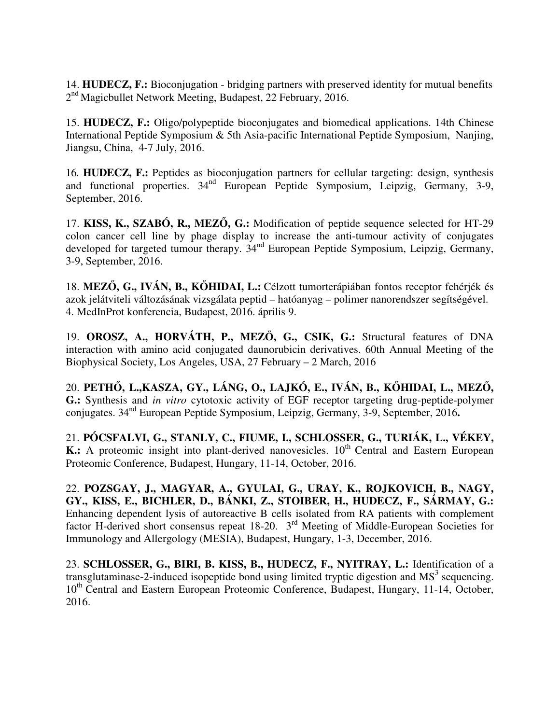14. **HUDECZ, F.:** Bioconjugation - bridging partners with preserved identity for mutual benefits 2<sup>nd</sup> Magicbullet Network Meeting, Budapest, 22 February, 2016.

15. **HUDECZ, F.:** Oligo/polypeptide bioconjugates and biomedical applications. 14th Chinese International Peptide Symposium & 5th Asia-pacific International Peptide Symposium, Nanjing, Jiangsu, China, 4-7 July, 2016.

16. **HUDECZ, F.:** Peptides as bioconjugation partners for cellular targeting: design, synthesis and functional properties. 34nd European Peptide Symposium, Leipzig, Germany, 3-9, September, 2016.

17. **KISS, K., SZABÓ, R., MEZŐ, G.:** Modification of peptide sequence selected for HT-29 colon cancer cell line by phage display to increase the anti-tumour activity of conjugates developed for targeted tumour therapy.  $34<sup>nd</sup>$  European Peptide Symposium, Leipzig, Germany, 3-9, September, 2016.

18. **MEZŐ, G., IVÁN, B., KŐHIDAI, L.:** Célzott tumorterápiában fontos receptor fehérjék és azok jelátviteli változásának vizsgálata peptid – hatóanyag – polimer nanorendszer segítségével. 4. MedInProt konferencia, Budapest, 2016. április 9.

19. **OROSZ, A., HORVÁTH, P., MEZŐ, G., CSIK, G.:** Structural features of DNA interaction with amino acid conjugated daunorubicin derivatives. 60th Annual Meeting of the Biophysical Society, Los Angeles, USA, 27 February – 2 March, 2016

20. **PETHŐ, L.,KASZA, GY., LÁNG, O., LAJKÓ, E., IVÁN, B., KŐHIDAI, L., MEZŐ, G.:** Synthesis and *in vitro* cytotoxic activity of EGF receptor targeting drug-peptide-polymer conjugates. 34nd European Peptide Symposium, Leipzig, Germany, 3-9, September, 2016**.** 

21. **PÓCSFALVI, G., STANLY, C., FIUME, I., SCHLOSSER, G., TURIÁK, L., VÉKEY, K.:** A proteomic insight into plant-derived nanovesicles.  $10<sup>th</sup>$  Central and Eastern European Proteomic Conference, Budapest, Hungary, 11-14, October, 2016.

22. **POZSGAY, J., MAGYAR, A., GYULAI, G., URAY, K., ROJKOVICH, B., NAGY, GY., KISS, E., BICHLER, D., BÁNKI, Z., STOIBER, H., HUDECZ, F., SÁRMAY, G.:**  Enhancing dependent lysis of autoreactive B cells isolated from RA patients with complement factor H-derived short consensus repeat 18-20. 3<sup>rd</sup> Meeting of Middle-European Societies for Immunology and Allergology (MESIA), Budapest, Hungary, 1-3, December, 2016.

23. **SCHLOSSER, G., BIRI, B. KISS, B., HUDECZ, F., NYITRAY, L.:** Identification of a transglutaminase-2-induced isopeptide bond using limited tryptic digestion and  $MS<sup>3</sup>$  sequencing. 10<sup>th</sup> Central and Eastern European Proteomic Conference, Budapest, Hungary, 11-14, October, 2016.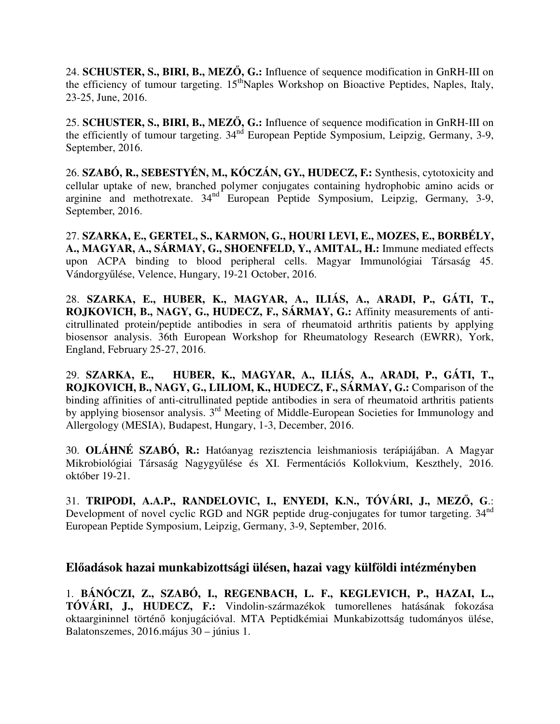24. **SCHUSTER, S., BIRI, B., MEZŐ, G.:** Influence of sequence modification in GnRH-III on the efficiency of tumour targeting.  $15<sup>th</sup>Naples$  Workshop on Bioactive Peptides, Naples, Italy, 23-25, June, 2016.

25. **SCHUSTER, S., BIRI, B., MEZŐ, G.:** Influence of sequence modification in GnRH-III on the efficiently of tumour targeting. 34nd European Peptide Symposium, Leipzig, Germany, 3-9, September, 2016.

26. **SZABÓ, R., SEBESTYÉN, M., KÓCZÁN, GY., HUDECZ, F.:** Synthesis, cytotoxicity and cellular uptake of new, branched polymer conjugates containing hydrophobic amino acids or arginine and methotrexate.  $34^{\text{nd}}$  European Peptide Symposium, Leipzig, Germany, 3-9, September, 2016.

27. **SZARKA, E., GERTEL, S., KARMON, G., HOURI LEVI, E., MOZES, E., BORBÉLY, A., MAGYAR, A., SÁRMAY, G., SHOENFELD, Y., AMITAL, H.:** Immune mediated effects upon ACPA binding to blood peripheral cells. Magyar Immunológiai Társaság 45. Vándorgyűlése, Velence, Hungary, 19-21 October, 2016.

28. **SZARKA, E., HUBER, K., MAGYAR, A., ILIÁS, A., ARADI, P., GÁTI, T., ROJKOVICH, B., NAGY, G., HUDECZ, F., SÁRMAY, G.:** Affinity measurements of anticitrullinated protein/peptide antibodies in sera of rheumatoid arthritis patients by applying biosensor analysis. 36th European Workshop for Rheumatology Research (EWRR), York, England, February 25-27, 2016.

29. **SZARKA, E., HUBER, K., MAGYAR, A., ILIÁS, A., ARADI, P., GÁTI, T., ROJKOVICH, B., NAGY, G., LILIOM, K., HUDECZ, F., SÁRMAY, G.:** Comparison of the binding affinities of anti-citrullinated peptide antibodies in sera of rheumatoid arthritis patients by applying biosensor analysis. 3rd Meeting of Middle-European Societies for Immunology and Allergology (MESIA), Budapest, Hungary, 1-3, December, 2016.

30. **OLÁHNÉ SZABÓ, R.:** Hatóanyag rezisztencia leishmaniosis terápiájában. A Magyar Mikrobiológiai Társaság Nagygyűlése és XI. Fermentációs Kollokvium, Keszthely, 2016. október 19-21.

31. **TRIPODI, A.A.P., RANDELOVIC, I., ENYEDI, K.N., TÓVÁRI, J., MEZŐ, G**.: Development of novel cyclic RGD and NGR peptide drug-conjugates for tumor targeting. 34<sup>nd</sup> European Peptide Symposium, Leipzig, Germany, 3-9, September, 2016.

## **Előadások hazai munkabizottsági ülésen, hazai vagy külföldi intézményben**

1. **BÁNÓCZI, Z., SZABÓ, I., REGENBACH, L. F., KEGLEVICH, P., HAZAI, L., TÓVÁRI, J., HUDECZ, F.:** Vindolin-származékok tumorellenes hatásának fokozása oktaargininnel történő konjugációval. MTA Peptidkémiai Munkabizottság tudományos ülése, Balatonszemes, 2016.május 30 – június 1.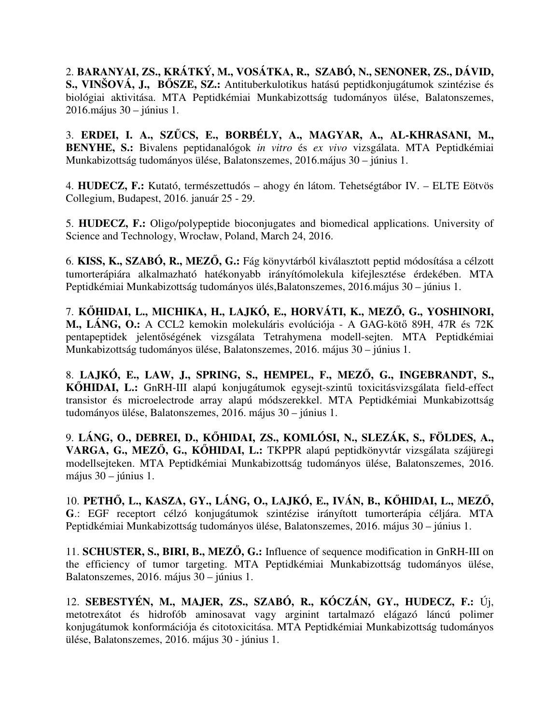2. **BARANYAI, ZS., KRÁTKÝ, M., VOSÁTKA, R., SZABÓ, N., SENONER, ZS., DÁVID, S., VINŠOVÁ, J., BŐSZE, SZ.:** Antituberkulotikus hatású peptidkonjugátumok szintézise és biológiai aktivitása. MTA Peptidkémiai Munkabizottság tudományos ülése, Balatonszemes, 2016.május 30 – június 1.

3. **ERDEI, I. A., SZŰCS, E., BORBÉLY, A., MAGYAR, A., AL-KHRASANI, M., BENYHE, S.:** Bivalens peptidanalógok *in vitro* és *ex vivo* vizsgálata. MTA Peptidkémiai Munkabizottság tudományos ülése, Balatonszemes, 2016.május 30 – június 1.

4. **HUDECZ, F.:** Kutató, természettudós – ahogy én látom. Tehetségtábor IV. – ELTE Eötvös Collegium, Budapest, 2016. január 25 - 29.

5. **HUDECZ, F.:** Oligo/polypeptide bioconjugates and biomedical applications. University of Science and Technology, Wrocław, Poland, March 24, 2016.

6. **KISS, K., SZABÓ, R., MEZŐ, G.:** Fág könyvtárból kiválasztott peptid módosítása a célzott tumorterápiára alkalmazható hatékonyabb irányítómolekula kifejlesztése érdekében. MTA Peptidkémiai Munkabizottság tudományos ülés,Balatonszemes, 2016.május 30 – június 1.

7. **KŐHIDAI, L., MICHIKA, H., LAJKÓ, E., HORVÁTI, K., MEZŐ, G., YOSHINORI, M., LÁNG, O.:** A CCL2 kemokin molekuláris evolúciója - A GAG-kötő 89H, 47R és 72K pentapeptidek jelentőségének vizsgálata Tetrahymena modell-sejten. MTA Peptidkémiai Munkabizottság tudományos ülése, Balatonszemes, 2016. május 30 – június 1.

8. **LAJKÓ, E., LAW, J., SPRING, S., HEMPEL, F., MEZŐ, G., INGEBRANDT, S., KŐHIDAI, L.:** GnRH-III alapú konjugátumok egysejt-szintű toxicitásvizsgálata field-effect transistor és microelectrode array alapú módszerekkel. MTA Peptidkémiai Munkabizottság tudományos ülése, Balatonszemes, 2016. május 30 – június 1.

9. **LÁNG, O., DEBREI, D., KŐHIDAI, ZS., KOMLÓSI, N., SLEZÁK, S., FÖLDES, A., VARGA, G., MEZŐ, G., KŐHIDAI, L.:** TKPPR alapú peptidkönyvtár vizsgálata szájüregi modellsejteken. MTA Peptidkémiai Munkabizottság tudományos ülése, Balatonszemes, 2016. május 30 – június 1.

10. **PETHŐ, L., KASZA, GY., LÁNG, O., LAJKÓ, E., IVÁN, B., KŐHIDAI, L., MEZŐ, G**.: EGF receptort célzó konjugátumok szintézise irányított tumorterápia céljára. MTA Peptidkémiai Munkabizottság tudományos ülése, Balatonszemes, 2016. május 30 – június 1.

11. **SCHUSTER, S., BIRI, B., MEZŐ, G.:** Influence of sequence modification in GnRH-III on the efficiency of tumor targeting. MTA Peptidkémiai Munkabizottság tudományos ülése, Balatonszemes, 2016. május 30 – június 1.

12. **SEBESTYÉN, M., MAJER, ZS., SZABÓ, R., KÓCZÁN, GY., HUDECZ, F.:** Új, metotrexátot és hidrofób aminosavat vagy arginint tartalmazó elágazó láncú polimer konjugátumok konformációja és citotoxicitása. MTA Peptidkémiai Munkabizottság tudományos ülése, Balatonszemes, 2016. május 30 - június 1.